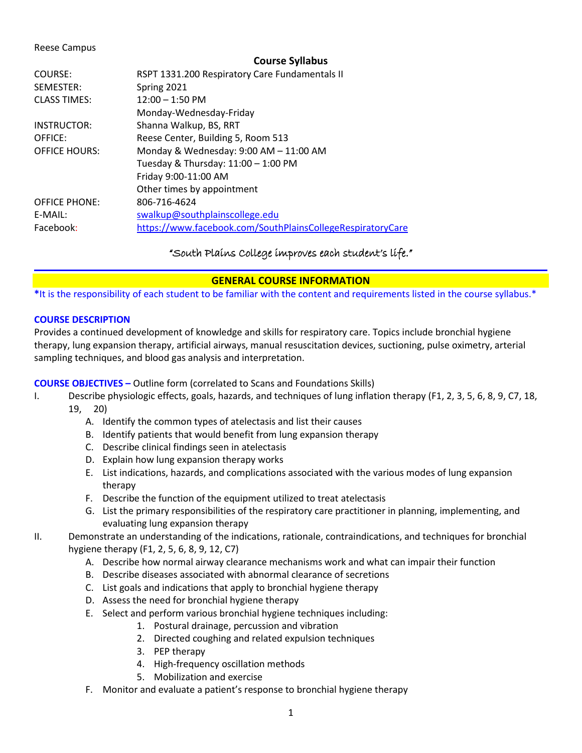### Reese Campus

#### **Course Syllabus**

| COURSE:              | RSPT 1331.200 Respiratory Care Fundamentals II             |
|----------------------|------------------------------------------------------------|
| SEMESTER:            | Spring 2021                                                |
| <b>CLASS TIMES:</b>  | $12:00 - 1:50$ PM                                          |
|                      | Monday-Wednesday-Friday                                    |
| INSTRUCTOR:          | Shanna Walkup, BS, RRT                                     |
| OFFICE:              | Reese Center, Building 5, Room 513                         |
| <b>OFFICE HOURS:</b> | Monday & Wednesday: 9:00 AM - 11:00 AM                     |
|                      | Tuesday & Thursday: 11:00 - 1:00 PM                        |
|                      | Friday 9:00-11:00 AM                                       |
|                      | Other times by appointment                                 |
| <b>OFFICE PHONE:</b> | 806-716-4624                                               |
| E-MAIL:              | swalkup@southplainscollege.edu                             |
| Facebook:            | https://www.facebook.com/SouthPlainsCollegeRespiratoryCare |
|                      |                                                            |

# "South Plains College improves each student's life."

# **GENERAL COURSE INFORMATION**

**\***It is the responsibility of each student to be familiar with the content and requirements listed in the course syllabus.\*

# **COURSE DESCRIPTION**

Provides a continued development of knowledge and skills for respiratory care. Topics include bronchial hygiene therapy, lung expansion therapy, artificial airways, manual resuscitation devices, suctioning, pulse oximetry, arterial sampling techniques, and blood gas analysis and interpretation.

# **COURSE OBJECTIVES –** Outline form (correlated to Scans and Foundations Skills)

- I. Describe physiologic effects, goals, hazards, and techniques of lung inflation therapy (F1, 2, 3, 5, 6, 8, 9, C7, 18, 19, 20)
	- A. Identify the common types of atelectasis and list their causes
	- B. Identify patients that would benefit from lung expansion therapy
	- C. Describe clinical findings seen in atelectasis
	- D. Explain how lung expansion therapy works
	- E. List indications, hazards, and complications associated with the various modes of lung expansion therapy
	- F. Describe the function of the equipment utilized to treat atelectasis
	- G. List the primary responsibilities of the respiratory care practitioner in planning, implementing, and evaluating lung expansion therapy
- II. Demonstrate an understanding of the indications, rationale, contraindications, and techniques for bronchial hygiene therapy (F1, 2, 5, 6, 8, 9, 12, C7)
	- A. Describe how normal airway clearance mechanisms work and what can impair their function
	- B. Describe diseases associated with abnormal clearance of secretions
	- C. List goals and indications that apply to bronchial hygiene therapy
	- D. Assess the need for bronchial hygiene therapy
	- E. Select and perform various bronchial hygiene techniques including:
		- 1. Postural drainage, percussion and vibration
		- 2. Directed coughing and related expulsion techniques
		- 3. PEP therapy
		- 4. High-frequency oscillation methods
		- 5. Mobilization and exercise
	- F. Monitor and evaluate a patient's response to bronchial hygiene therapy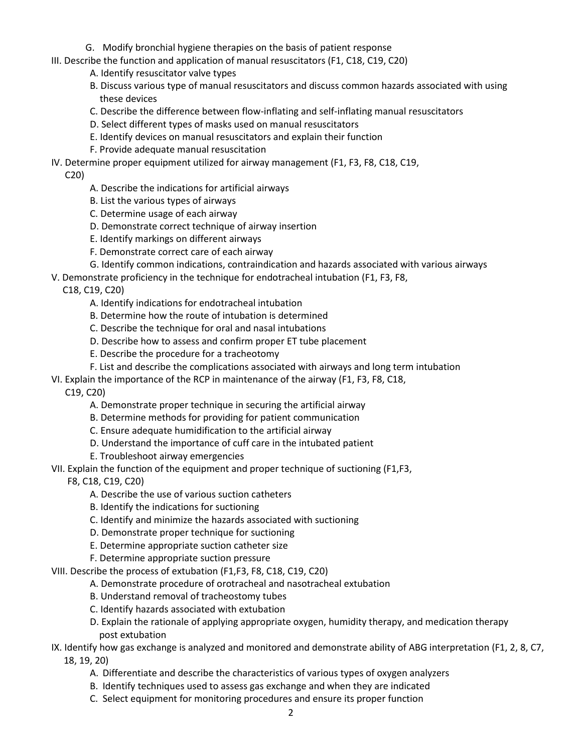- G. Modify bronchial hygiene therapies on the basis of patient response
- III. Describe the function and application of manual resuscitators (F1, C18, C19, C20)
	- A. Identify resuscitator valve types
	- B. Discuss various type of manual resuscitators and discuss common hazards associated with using these devices
	- C. Describe the difference between flow-inflating and self-inflating manual resuscitators
	- D. Select different types of masks used on manual resuscitators
	- E. Identify devices on manual resuscitators and explain their function
	- F. Provide adequate manual resuscitation
- IV. Determine proper equipment utilized for airway management (F1, F3, F8, C18, C19,

C20)

- A. Describe the indications for artificial airways
- B. List the various types of airways
- C. Determine usage of each airway
- D. Demonstrate correct technique of airway insertion
- E. Identify markings on different airways
- F. Demonstrate correct care of each airway
- G. Identify common indications, contraindication and hazards associated with various airways
- V. Demonstrate proficiency in the technique for endotracheal intubation (F1, F3, F8,

C18, C19, C20)

- A. Identify indications for endotracheal intubation
- B. Determine how the route of intubation is determined
- C. Describe the technique for oral and nasal intubations
- D. Describe how to assess and confirm proper ET tube placement
- E. Describe the procedure for a tracheotomy
- F. List and describe the complications associated with airways and long term intubation
- VI. Explain the importance of the RCP in maintenance of the airway (F1, F3, F8, C18,

C19, C20)

- A. Demonstrate proper technique in securing the artificial airway
- B. Determine methods for providing for patient communication
- C. Ensure adequate humidification to the artificial airway
- D. Understand the importance of cuff care in the intubated patient
- E. Troubleshoot airway emergencies
- VII. Explain the function of the equipment and proper technique of suctioning (F1,F3,

F8, C18, C19, C20)

- A. Describe the use of various suction catheters
- B. Identify the indications for suctioning
- C. Identify and minimize the hazards associated with suctioning
- D. Demonstrate proper technique for suctioning
- E. Determine appropriate suction catheter size
- F. Determine appropriate suction pressure

# VIII. Describe the process of extubation (F1,F3, F8, C18, C19, C20)

- A. Demonstrate procedure of orotracheal and nasotracheal extubation
- B. Understand removal of tracheostomy tubes
- C. Identify hazards associated with extubation
- D. Explain the rationale of applying appropriate oxygen, humidity therapy, and medication therapy post extubation
- IX. Identify how gas exchange is analyzed and monitored and demonstrate ability of ABG interpretation (F1, 2, 8, C7, 18, 19, 20)
	- A. Differentiate and describe the characteristics of various types of oxygen analyzers
	- B. Identify techniques used to assess gas exchange and when they are indicated
	- C. Select equipment for monitoring procedures and ensure its proper function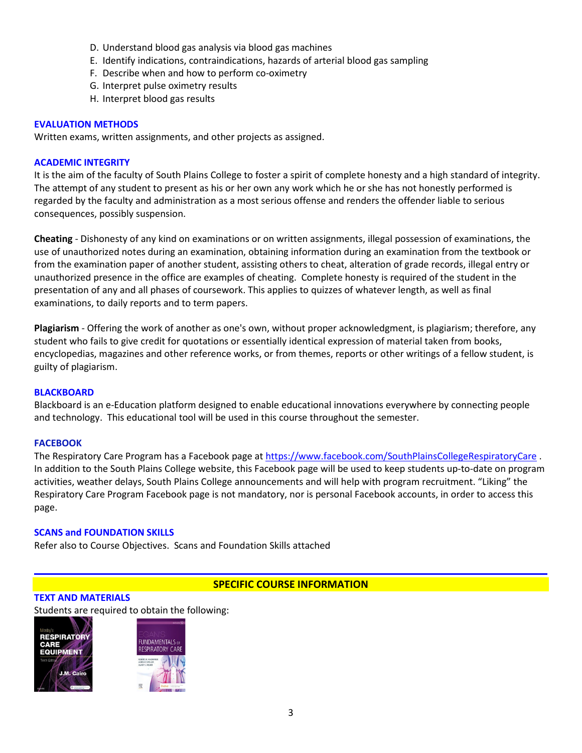- D. Understand blood gas analysis via blood gas machines
- E. Identify indications, contraindications, hazards of arterial blood gas sampling
- F. Describe when and how to perform co-oximetry
- G. Interpret pulse oximetry results
- H. Interpret blood gas results

### **EVALUATION METHODS**

Written exams, written assignments, and other projects as assigned.

### **ACADEMIC INTEGRITY**

It is the aim of the faculty of South Plains College to foster a spirit of complete honesty and a high standard of integrity. The attempt of any student to present as his or her own any work which he or she has not honestly performed is regarded by the faculty and administration as a most serious offense and renders the offender liable to serious consequences, possibly suspension.

**Cheating** - Dishonesty of any kind on examinations or on written assignments, illegal possession of examinations, the use of unauthorized notes during an examination, obtaining information during an examination from the textbook or from the examination paper of another student, assisting others to cheat, alteration of grade records, illegal entry or unauthorized presence in the office are examples of cheating. Complete honesty is required of the student in the presentation of any and all phases of coursework. This applies to quizzes of whatever length, as well as final examinations, to daily reports and to term papers.

**Plagiarism** - Offering the work of another as one's own, without proper acknowledgment, is plagiarism; therefore, any student who fails to give credit for quotations or essentially identical expression of material taken from books, encyclopedias, magazines and other reference works, or from themes, reports or other writings of a fellow student, is guilty of plagiarism.

#### **BLACKBOARD**

Blackboard is an e-Education platform designed to enable educational innovations everywhere by connecting people and technology. This educational tool will be used in this course throughout the semester.

#### **FACEBOOK**

The Respiratory Care Program has a Facebook page at <https://www.facebook.com/SouthPlainsCollegeRespiratoryCare> . In addition to the South Plains College website, this Facebook page will be used to keep students up-to-date on program activities, weather delays, South Plains College announcements and will help with program recruitment. "Liking" the Respiratory Care Program Facebook page is not mandatory, nor is personal Facebook accounts, in order to access this page.

# **SCANS and FOUNDATION SKILLS**

Refer also to Course Objectives. Scans and Foundation Skills attached

# **SPECIFIC COURSE INFORMATION**

### **TEXT AND MATERIALS**

Students are required to obtain the following:



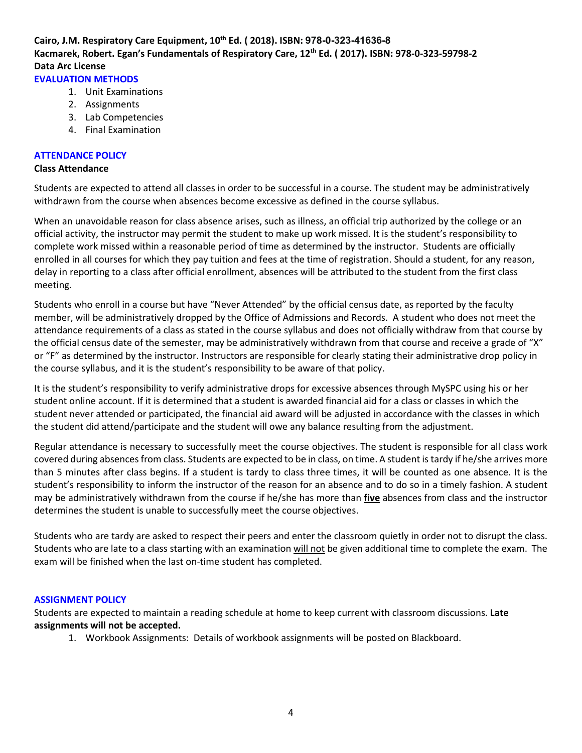# **Cairo, J.M. Respiratory Care Equipment, 10th Ed. ( 2018). ISBN: 978-0-323-41636-8 Kacmarek, Robert. Egan's Fundamentals of Respiratory Care, 12th Ed. ( 2017). ISBN: 978-0-323-59798-2 Data Arc License**

# **EVALUATION METHODS**

- 1. Unit Examinations
- 2. Assignments
- 3. Lab Competencies
- 4. Final Examination

#### **ATTENDANCE POLICY**

#### **Class Attendance**

Students are expected to attend all classes in order to be successful in a course. The student may be administratively withdrawn from the course when absences become excessive as defined in the course syllabus.

When an unavoidable reason for class absence arises, such as illness, an official trip authorized by the college or an official activity, the instructor may permit the student to make up work missed. It is the student's responsibility to complete work missed within a reasonable period of time as determined by the instructor. Students are officially enrolled in all courses for which they pay tuition and fees at the time of registration. Should a student, for any reason, delay in reporting to a class after official enrollment, absences will be attributed to the student from the first class meeting.

Students who enroll in a course but have "Never Attended" by the official census date, as reported by the faculty member, will be administratively dropped by the Office of Admissions and Records. A student who does not meet the attendance requirements of a class as stated in the course syllabus and does not officially withdraw from that course by the official census date of the semester, may be administratively withdrawn from that course and receive a grade of "X" or "F" as determined by the instructor. Instructors are responsible for clearly stating their administrative drop policy in the course syllabus, and it is the student's responsibility to be aware of that policy.

It is the student's responsibility to verify administrative drops for excessive absences through MySPC using his or her student online account. If it is determined that a student is awarded financial aid for a class or classes in which the student never attended or participated, the financial aid award will be adjusted in accordance with the classes in which the student did attend/participate and the student will owe any balance resulting from the adjustment.

Regular attendance is necessary to successfully meet the course objectives. The student is responsible for all class work covered during absences from class. Students are expected to be in class, on time. A student is tardy if he/she arrives more than 5 minutes after class begins. If a student is tardy to class three times, it will be counted as one absence. It is the student's responsibility to inform the instructor of the reason for an absence and to do so in a timely fashion. A student may be administratively withdrawn from the course if he/she has more than **five** absences from class and the instructor determines the student is unable to successfully meet the course objectives.

Students who are tardy are asked to respect their peers and enter the classroom quietly in order not to disrupt the class. Students who are late to a class starting with an examination will not be given additional time to complete the exam. The exam will be finished when the last on-time student has completed.

#### **ASSIGNMENT POLICY**

Students are expected to maintain a reading schedule at home to keep current with classroom discussions. **Late assignments will not be accepted.** 

1. Workbook Assignments: Details of workbook assignments will be posted on Blackboard.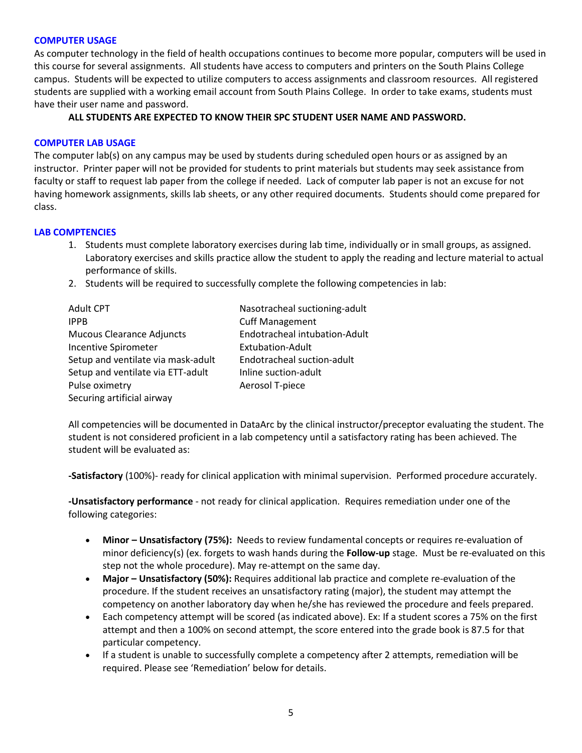### **COMPUTER USAGE**

As computer technology in the field of health occupations continues to become more popular, computers will be used in this course for several assignments. All students have access to computers and printers on the South Plains College campus. Students will be expected to utilize computers to access assignments and classroom resources. All registered students are supplied with a working email account from South Plains College. In order to take exams, students must have their user name and password.

# **ALL STUDENTS ARE EXPECTED TO KNOW THEIR SPC STUDENT USER NAME AND PASSWORD.**

### **COMPUTER LAB USAGE**

The computer lab(s) on any campus may be used by students during scheduled open hours or as assigned by an instructor. Printer paper will not be provided for students to print materials but students may seek assistance from faculty or staff to request lab paper from the college if needed. Lack of computer lab paper is not an excuse for not having homework assignments, skills lab sheets, or any other required documents. Students should come prepared for class.

# **LAB COMPTENCIES**

- 1. Students must complete laboratory exercises during lab time, individually or in small groups, as assigned. Laboratory exercises and skills practice allow the student to apply the reading and lecture material to actual performance of skills.
- 2. Students will be required to successfully complete the following competencies in lab:

| <b>Adult CPT</b>                   |    |
|------------------------------------|----|
| <b>IPPB</b>                        | C  |
| <b>Mucous Clearance Adjuncts</b>   | F  |
| Incentive Spirometer               | F  |
| Setup and ventilate via mask-adult | F  |
| Setup and ventilate via ETT-adult  | Ir |
| Pulse oximetry                     | Α  |
| Securing artificial airway         |    |

lasotracheal suctioning-adult Iuff Management Indotracheal intubation-Adult ixtubation-Adult Indotracheal suction-adult nline suction-adult erosol T-piece

All competencies will be documented in DataArc by the clinical instructor/preceptor evaluating the student. The student is not considered proficient in a lab competency until a satisfactory rating has been achieved. The student will be evaluated as:

**-Satisfactory** (100%)- ready for clinical application with minimal supervision. Performed procedure accurately.

**-Unsatisfactory performance** - not ready for clinical application. Requires remediation under one of the following categories:

- **Minor – Unsatisfactory (75%):** Needs to review fundamental concepts or requires re-evaluation of minor deficiency(s) (ex. forgets to wash hands during the **Follow-up** stage. Must be re-evaluated on this step not the whole procedure). May re-attempt on the same day.
- **Major – Unsatisfactory (50%):** Requires additional lab practice and complete re-evaluation of the procedure. If the student receives an unsatisfactory rating (major), the student may attempt the competency on another laboratory day when he/she has reviewed the procedure and feels prepared.
- Each competency attempt will be scored (as indicated above). Ex: If a student scores a 75% on the first attempt and then a 100% on second attempt, the score entered into the grade book is 87.5 for that particular competency.
- If a student is unable to successfully complete a competency after 2 attempts, remediation will be required. Please see 'Remediation' below for details.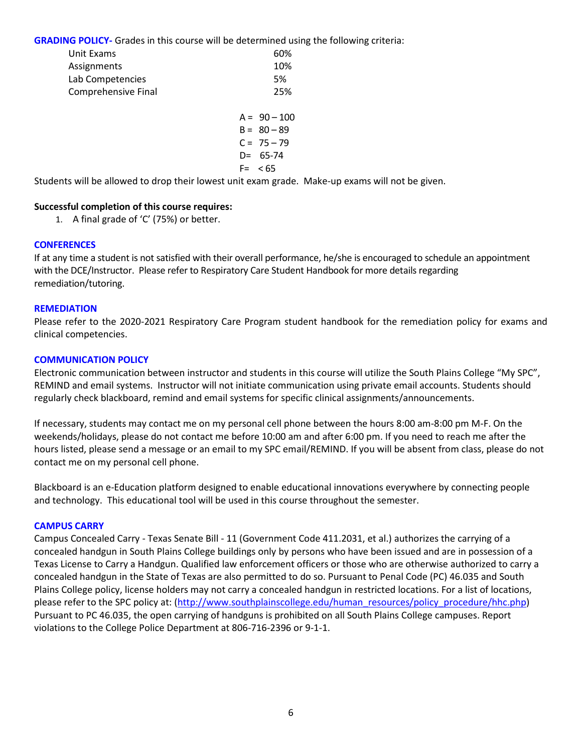**GRADING POLICY-** Grades in this course will be determined using the following criteria:

| Unit Exams          | 60%            |
|---------------------|----------------|
| Assignments         | 10%            |
| Lab Competencies    | 5%             |
| Comprehensive Final | 25%            |
|                     | $A = 90 - 100$ |
|                     | $B = 80 - 89$  |
|                     | $C = 75 - 79$  |
|                     | $D = 65 - 74$  |
|                     | $F = 65$       |

Students will be allowed to drop their lowest unit exam grade. Make-up exams will not be given.

# **Successful completion of this course requires:**

1. A final grade of 'C' (75%) or better.

### **CONFERENCES**

If at any time a student is not satisfied with their overall performance, he/she is encouraged to schedule an appointment with the DCE/Instructor. Please refer to Respiratory Care Student Handbook for more details regarding remediation/tutoring.

#### **REMEDIATION**

Please refer to the 2020-2021 Respiratory Care Program student handbook for the remediation policy for exams and clinical competencies.

#### **COMMUNICATION POLICY**

Electronic communication between instructor and students in this course will utilize the South Plains College "My SPC", REMIND and email systems. Instructor will not initiate communication using private email accounts. Students should regularly check blackboard, remind and email systems for specific clinical assignments/announcements.

If necessary, students may contact me on my personal cell phone between the hours 8:00 am-8:00 pm M-F. On the weekends/holidays, please do not contact me before 10:00 am and after 6:00 pm. If you need to reach me after the hours listed, please send a message or an email to my SPC email/REMIND. If you will be absent from class, please do not contact me on my personal cell phone.

Blackboard is an e-Education platform designed to enable educational innovations everywhere by connecting people and technology. This educational tool will be used in this course throughout the semester.

#### **CAMPUS CARRY**

Campus Concealed Carry - Texas Senate Bill - 11 (Government Code 411.2031, et al.) authorizes the carrying of a concealed handgun in South Plains College buildings only by persons who have been issued and are in possession of a Texas License to Carry a Handgun. Qualified law enforcement officers or those who are otherwise authorized to carry a concealed handgun in the State of Texas are also permitted to do so. Pursuant to Penal Code (PC) 46.035 and South Plains College policy, license holders may not carry a concealed handgun in restricted locations. For a list of locations, please refer to the SPC policy at: [\(http://www.southplainscollege.edu/human\\_resources/policy\\_procedure/hhc.php\)](http://www.southplainscollege.edu/human_resources/policy_procedure/hhc.php) Pursuant to PC 46.035, the open carrying of handguns is prohibited on all South Plains College campuses. Report violations to the College Police Department at 806-716-2396 or 9-1-1.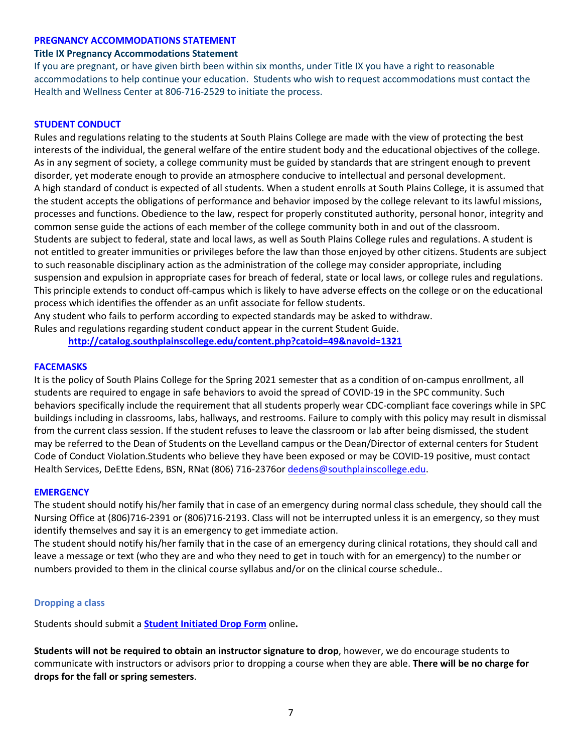### **PREGNANCY ACCOMMODATIONS STATEMENT**

### **Title IX Pregnancy Accommodations Statement**

If you are pregnant, or have given birth been within six months, under Title IX you have a right to reasonable accommodations to help continue your education. Students who wish to request accommodations must contact the Health and Wellness Center at 806-716-2529 to initiate the process.

### **STUDENT CONDUCT**

Rules and regulations relating to the students at South Plains College are made with the view of protecting the best interests of the individual, the general welfare of the entire student body and the educational objectives of the college. As in any segment of society, a college community must be guided by standards that are stringent enough to prevent disorder, yet moderate enough to provide an atmosphere conducive to intellectual and personal development. A high standard of conduct is expected of all students. When a student enrolls at South Plains College, it is assumed that the student accepts the obligations of performance and behavior imposed by the college relevant to its lawful missions, processes and functions. Obedience to the law, respect for properly constituted authority, personal honor, integrity and common sense guide the actions of each member of the college community both in and out of the classroom. Students are subject to federal, state and local laws, as well as South Plains College rules and regulations. A student is not entitled to greater immunities or privileges before the law than those enjoyed by other citizens. Students are subject to such reasonable disciplinary action as the administration of the college may consider appropriate, including suspension and expulsion in appropriate cases for breach of federal, state or local laws, or college rules and regulations. This principle extends to conduct off-campus which is likely to have adverse effects on the college or on the educational process which identifies the offender as an unfit associate for fellow students.

Any student who fails to perform according to expected standards may be asked to withdraw.

Rules and regulations regarding student conduct appear in the current Student Guide.

**<http://catalog.southplainscollege.edu/content.php?catoid=49&navoid=1321>**

### **FACEMASKS**

It is the policy of South Plains College for the Spring 2021 semester that as a condition of on-campus enrollment, all students are required to engage in safe behaviors to avoid the spread of COVID-19 in the SPC community. Such behaviors specifically include the requirement that all students properly wear CDC-compliant face coverings while in SPC buildings including in classrooms, labs, hallways, and restrooms. Failure to comply with this policy may result in dismissal from the current class session. If the student refuses to leave the classroom or lab after being dismissed, the student may be referred to the Dean of Students on the Levelland campus or the Dean/Director of external centers for Student Code of Conduct Violation.Students who believe they have been exposed or may be COVID-19 positive, must contact Health Services, DeEtte Edens, BSN, RNat (806) 716-2376o[r dedens@southplainscollege.edu.](mailto:dedens@southplainscollege.edu)

#### **EMERGENCY**

The student should notify his/her family that in case of an emergency during normal class schedule, they should call the Nursing Office at (806)716-2391 or (806)716-2193. Class will not be interrupted unless it is an emergency, so they must identify themselves and say it is an emergency to get immediate action.

The student should notify his/her family that in the case of an emergency during clinical rotations, they should call and leave a message or text (who they are and who they need to get in touch with for an emergency) to the number or numbers provided to them in the clinical course syllabus and/or on the clinical course schedule..

#### **Dropping a class**

Students should submit a **Student [Initiated](https://forms.office.com/Pages/ResponsePage.aspx?id=ZrGRbWrP6UWeIqAmJdCCqRkmPIpp6AVCixFJfcqITt9UODExTUFXS0JOODhJOTlYM0NEV1kzRk9GMS4u) Drop Form** online**.**

**Students will not be required to obtain an instructor signature to drop**, however, we do encourage students to communicate with instructors or advisors prior to dropping a course when they are able. **There will be no charge for drops for the fall or spring semesters**.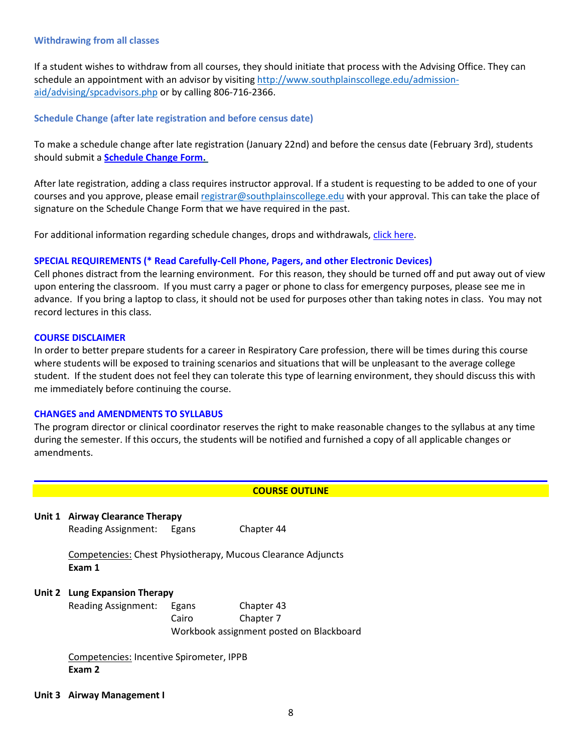#### **Withdrawing from all classes**

If a student wishes to withdraw from all courses, they should initiate that process with the Advising Office. They can schedule an appointment with an advisor by visiting [http://www.southplainscollege.edu/admission](http://www.southplainscollege.edu/admission-aid/advising/spcadvisors.php)[aid/advising/spcadvisors.php](http://www.southplainscollege.edu/admission-aid/advising/spcadvisors.php) or by calling 806-716-2366.

### **Schedule Change (after late registration and before census date)**

To make a schedule change after late registration (January 22nd) and before the census date (February 3rd), students should submit a **[Schedule](https://forms.office.com/Pages/ResponsePage.aspx?id=ZrGRbWrP6UWeIqAmJdCCqRkmPIpp6AVCixFJfcqITt9UODIyTkRZSkFHVDNSVFRFV0g0T0tVWVAwRi4u) Change Form.**

After late registration, adding a class requires instructor approval. If a student is requesting to be added to one of your courses and you approve, please email [registrar@southplainscollege.edu](mailto:registrar@southplainscollege.edu) with your approval. This can take the place of signature on the Schedule Change Form that we have required in the past.

For additional information regarding schedule changes, drops and withdrawals, click [here.](http://www.southplainscollege.edu/admission-aid/apply/schedulechanges.php)

### **SPECIAL REQUIREMENTS (\* Read Carefully-Cell Phone, Pagers, and other Electronic Devices)**

Cell phones distract from the learning environment. For this reason, they should be turned off and put away out of view upon entering the classroom. If you must carry a pager or phone to class for emergency purposes, please see me in advance. If you bring a laptop to class, it should not be used for purposes other than taking notes in class. You may not record lectures in this class.

#### **COURSE DISCLAIMER**

In order to better prepare students for a career in Respiratory Care profession, there will be times during this course where students will be exposed to training scenarios and situations that will be unpleasant to the average college student. If the student does not feel they can tolerate this type of learning environment, they should discuss this with me immediately before continuing the course.

#### **CHANGES and AMENDMENTS TO SYLLABUS**

The program director or clinical coordinator reserves the right to make reasonable changes to the syllabus at any time during the semester. If this occurs, the students will be notified and furnished a copy of all applicable changes or amendments.

#### **COURSE OUTLINE**

**Unit 1 Airway Clearance Therapy** Reading Assignment: Egans Chapter 44

Competencies: Chest Physiotherapy, Mucous Clearance Adjuncts **Exam 1**

# **Unit 2 Lung Expansion Therapy**

Reading Assignment: Egans Chapter 43 Cairo Chapter 7 Workbook assignment posted on Blackboard

Competencies: Incentive Spirometer, IPPB **Exam 2**

#### **Unit 3 Airway Management I**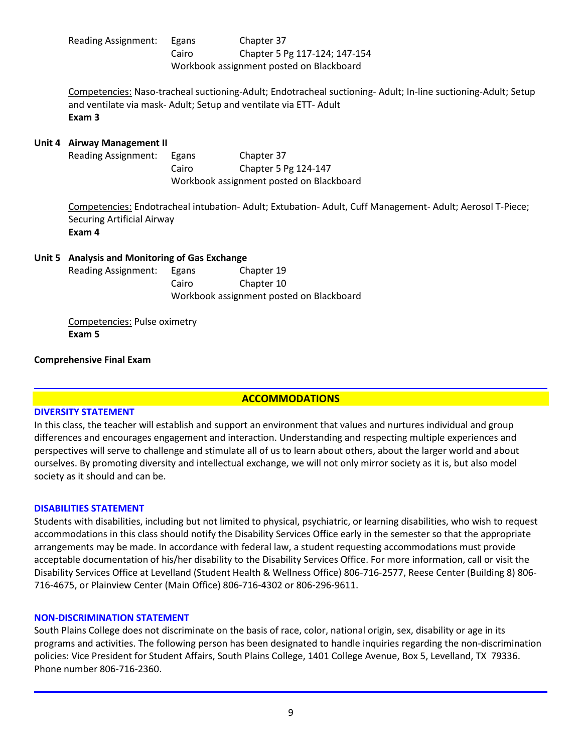| Reading Assignment: | Egans                                    | Chapter 37                    |  |
|---------------------|------------------------------------------|-------------------------------|--|
|                     | Cairo                                    | Chapter 5 Pg 117-124; 147-154 |  |
|                     | Workbook assignment posted on Blackboard |                               |  |

Competencies: Naso-tracheal suctioning-Adult; Endotracheal suctioning- Adult; In-line suctioning-Adult; Setup and ventilate via mask- Adult; Setup and ventilate via ETT- Adult **Exam 3**

### **Unit 4 Airway Management II**

Reading Assignment: Egans Chapter 37 Cairo Chapter 5 Pg 124-147 Workbook assignment posted on Blackboard

Competencies: Endotracheal intubation- Adult; Extubation- Adult, Cuff Management- Adult; Aerosol T-Piece; Securing Artificial Airway **Exam 4**

### **Unit 5 Analysis and Monitoring of Gas Exchange**

| Reading Assignment: | Egans                                    | Chapter 19 |  |
|---------------------|------------------------------------------|------------|--|
|                     | Cairo                                    | Chapter 10 |  |
|                     | Workbook assignment posted on Blackboard |            |  |

Competencies: Pulse oximetry **Exam 5**

#### **Comprehensive Final Exam**

#### **ACCOMMODATIONS**

#### **DIVERSITY STATEMENT**

In this class, the teacher will establish and support an environment that values and nurtures individual and group differences and encourages engagement and interaction. Understanding and respecting multiple experiences and perspectives will serve to challenge and stimulate all of us to learn about others, about the larger world and about ourselves. By promoting diversity and intellectual exchange, we will not only mirror society as it is, but also model society as it should and can be.

#### **DISABILITIES STATEMENT**

Students with disabilities, including but not limited to physical, psychiatric, or learning disabilities, who wish to request accommodations in this class should notify the Disability Services Office early in the semester so that the appropriate arrangements may be made. In accordance with federal law, a student requesting accommodations must provide acceptable documentation of his/her disability to the Disability Services Office. For more information, call or visit the Disability Services Office at Levelland (Student Health & Wellness Office) 806-716-2577, Reese Center (Building 8) 806- 716-4675, or Plainview Center (Main Office) 806-716-4302 or 806-296-9611.

#### **NON-DISCRIMINATION STATEMENT**

South Plains College does not discriminate on the basis of race, color, national origin, sex, disability or age in its programs and activities. The following person has been designated to handle inquiries regarding the non-discrimination policies: Vice President for Student Affairs, South Plains College, 1401 College Avenue, Box 5, Levelland, TX 79336. Phone number 806-716-2360.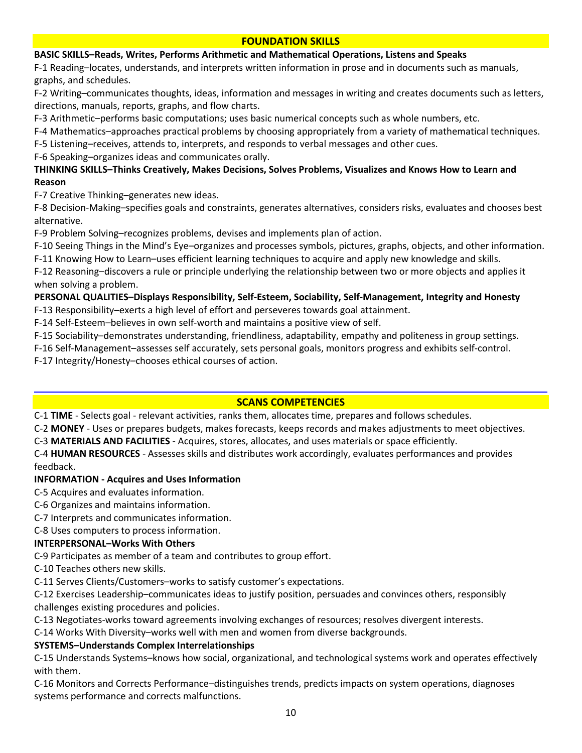# **FOUNDATION SKILLS**

# **BASIC SKILLS–Reads, Writes, Performs Arithmetic and Mathematical Operations, Listens and Speaks**

F-1 Reading–locates, understands, and interprets written information in prose and in documents such as manuals, graphs, and schedules.

F-2 Writing–communicates thoughts, ideas, information and messages in writing and creates documents such as letters, directions, manuals, reports, graphs, and flow charts.

F-3 Arithmetic–performs basic computations; uses basic numerical concepts such as whole numbers, etc.

F-4 Mathematics–approaches practical problems by choosing appropriately from a variety of mathematical techniques.

F-5 Listening–receives, attends to, interprets, and responds to verbal messages and other cues.

F-6 Speaking–organizes ideas and communicates orally.

# **THINKING SKILLS–Thinks Creatively, Makes Decisions, Solves Problems, Visualizes and Knows How to Learn and Reason**

F-7 Creative Thinking–generates new ideas.

F-8 Decision-Making–specifies goals and constraints, generates alternatives, considers risks, evaluates and chooses best alternative.

F-9 Problem Solving–recognizes problems, devises and implements plan of action.

F-10 Seeing Things in the Mind's Eye–organizes and processes symbols, pictures, graphs, objects, and other information.

F-11 Knowing How to Learn–uses efficient learning techniques to acquire and apply new knowledge and skills.

F-12 Reasoning–discovers a rule or principle underlying the relationship between two or more objects and applies it when solving a problem.

### **PERSONAL QUALITIES–Displays Responsibility, Self-Esteem, Sociability, Self-Management, Integrity and Honesty** F-13 Responsibility–exerts a high level of effort and perseveres towards goal attainment.

F-14 Self-Esteem–believes in own self-worth and maintains a positive view of self.

F-15 Sociability–demonstrates understanding, friendliness, adaptability, empathy and politeness in group settings.

F-16 Self-Management–assesses self accurately, sets personal goals, monitors progress and exhibits self-control.

F-17 Integrity/Honesty–chooses ethical courses of action.

# **SCANS COMPETENCIES**

C-1 **TIME** - Selects goal - relevant activities, ranks them, allocates time, prepares and follows schedules.

C-2 **MONEY** - Uses or prepares budgets, makes forecasts, keeps records and makes adjustments to meet objectives.

C-3 **MATERIALS AND FACILITIES** - Acquires, stores, allocates, and uses materials or space efficiently.

C-4 **HUMAN RESOURCES** - Assesses skills and distributes work accordingly, evaluates performances and provides feedback.

# **INFORMATION - Acquires and Uses Information**

C-5 Acquires and evaluates information.

- C-6 Organizes and maintains information.
- C-7 Interprets and communicates information.

C-8 Uses computers to process information.

# **INTERPERSONAL–Works With Others**

C-9 Participates as member of a team and contributes to group effort.

C-10 Teaches others new skills.

C-11 Serves Clients/Customers–works to satisfy customer's expectations.

C-12 Exercises Leadership–communicates ideas to justify position, persuades and convinces others, responsibly challenges existing procedures and policies.

C-13 Negotiates-works toward agreements involving exchanges of resources; resolves divergent interests.

C-14 Works With Diversity–works well with men and women from diverse backgrounds.

# **SYSTEMS–Understands Complex Interrelationships**

C-15 Understands Systems–knows how social, organizational, and technological systems work and operates effectively with them.

C-16 Monitors and Corrects Performance–distinguishes trends, predicts impacts on system operations, diagnoses systems performance and corrects malfunctions.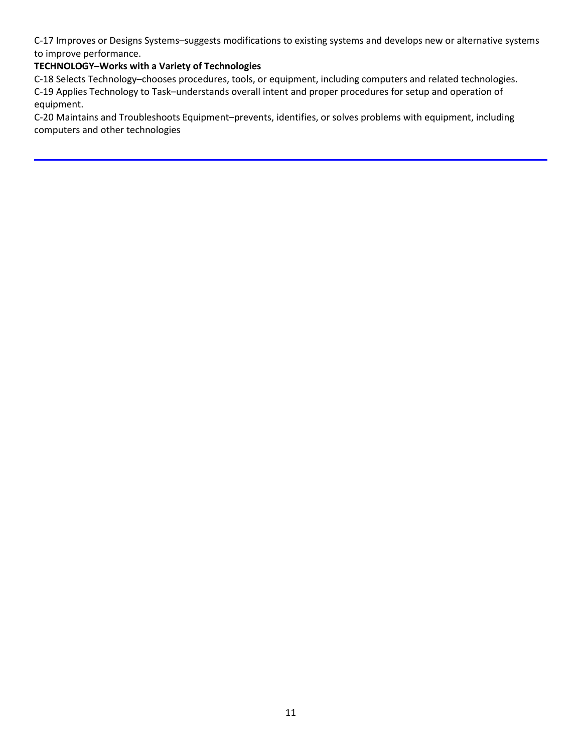C-17 Improves or Designs Systems–suggests modifications to existing systems and develops new or alternative systems to improve performance.

# **TECHNOLOGY–Works with a Variety of Technologies**

C-18 Selects Technology–chooses procedures, tools, or equipment, including computers and related technologies. C-19 Applies Technology to Task–understands overall intent and proper procedures for setup and operation of equipment.

C-20 Maintains and Troubleshoots Equipment–prevents, identifies, or solves problems with equipment, including computers and other technologies